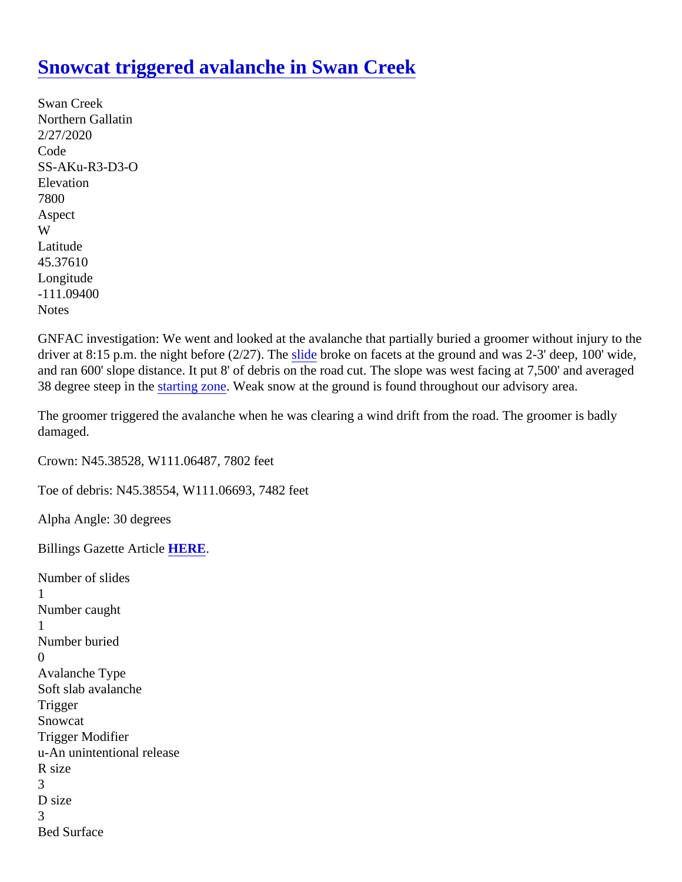## [Snowcat triggered avalanche in Swan Cree](https://www.mtavalanche.com/node/22269)k

Swan Creek Northern Gallatin 2/27/2020 Code SS-AKu-R3-D3-O **Elevation** 7800 Aspect W Latitude 45.37610 Longitude -111.09400 **Notes** 

GNFAC investigation: We went and looked at the avalanche that partially buried a groomer without injury to the driver at 8:15 p.m. the night before (2/27). [The slide](https://www.mtavalanche.com/taxonomy/term/305) broke on facets at the ground and was 2-3' deep, 100' wide, and ran 600' slope distance. It put 8' of debris on the road cut. The slope was west facing at 7,500' and avera 38 degree steep in the arting zone Weak snow at the ground is found throughout our advisory area.

The groomer triggered the avalanche when he was clearing a wind drift from the road. The groomer is badly damaged.

Crown: N45.38528, W111.06487, 7802 feet

Toe of debris: N45.38554, W111.06693, 7482 feet

Alpha Angle: 30 degrees

Billings Gazette ArticleHERE.

Number of slides 1 Number caught 1 Number buried 0 Avalanche Type Soft slab avalanche **Trigger Snowcat** Trigger Modifier u-An unintentional release R size 3 D size 3 Bed Surface